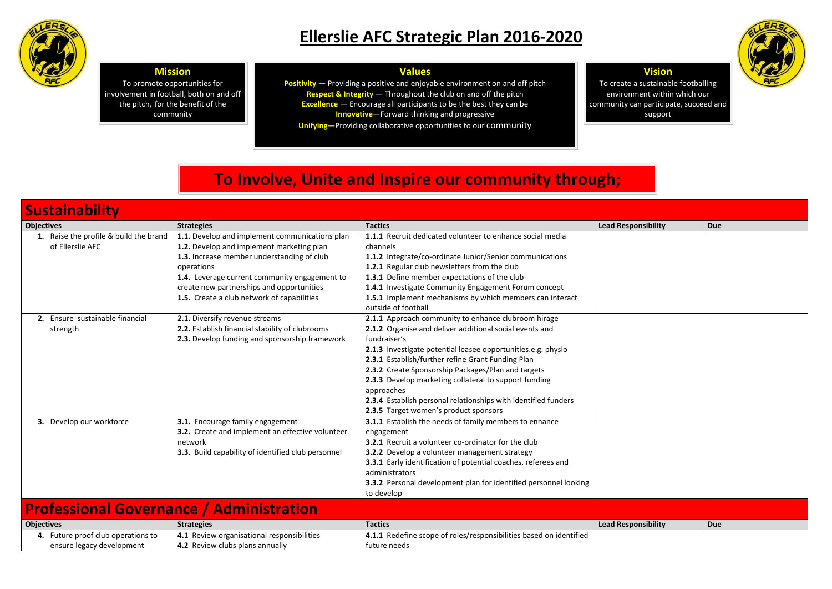

# **Ellerslie AFC Strategic Plan 2016-2020**

| <b>Sustainability</b>                                           |                                                                                                                                                                                                                                                                                                     |                                                                                                                                                                                                                                                                                                                                                                                                                                                                                             |                            |            |
|-----------------------------------------------------------------|-----------------------------------------------------------------------------------------------------------------------------------------------------------------------------------------------------------------------------------------------------------------------------------------------------|---------------------------------------------------------------------------------------------------------------------------------------------------------------------------------------------------------------------------------------------------------------------------------------------------------------------------------------------------------------------------------------------------------------------------------------------------------------------------------------------|----------------------------|------------|
| <b>Objectives</b>                                               | <b>Strategies</b>                                                                                                                                                                                                                                                                                   | <b>Tactics</b>                                                                                                                                                                                                                                                                                                                                                                                                                                                                              | <b>Lead Responsibility</b> | <b>Due</b> |
| 1. Raise the profile & build the brand<br>of Ellerslie AFC      | 1.1. Develop and implement communications plan<br>1.2. Develop and implement marketing plan<br>1.3. Increase member understanding of club<br>operations<br>1.4. Leverage current community engagement to<br>create new partnerships and opportunities<br>1.5. Create a club network of capabilities | 1.1.1 Recruit dedicated volunteer to enhance social media<br>channels<br>1.1.2 Integrate/co-ordinate Junior/Senior communications<br>1.2.1 Regular club newsletters from the club<br>1.3.1 Define member expectations of the club<br>1.4.1 Investigate Community Engagement Forum concept<br>1.5.1 Implement mechanisms by which members can interact<br>outside of football                                                                                                                |                            |            |
| 2. Ensure sustainable financial<br>strength                     | 2.1. Diversify revenue streams<br>2.2. Establish financial stability of clubrooms<br>2.3. Develop funding and sponsorship framework                                                                                                                                                                 | 2.1.1 Approach community to enhance clubroom hirage<br>2.1.2 Organise and deliver additional social events and<br>fundraiser's<br>2.1.3 Investigate potential leasee opportunities.e.g. physio<br>2.3.1 Establish/further refine Grant Funding Plan<br>2.3.2 Create Sponsorship Packages/Plan and targets<br>2.3.3 Develop marketing collateral to support funding<br>approaches<br>2.3.4 Establish personal relationships with identified funders<br>2.3.5 Target women's product sponsors |                            |            |
| 3. Develop our workforce                                        | 3.1. Encourage family engagement<br>3.2. Create and implement an effective volunteer<br>network<br>3.3. Build capability of identified club personnel                                                                                                                                               | 3.1.1 Establish the needs of family members to enhance<br>engagement<br>3.2.1 Recruit a volunteer co-ordinator for the club<br>3.2.2 Develop a volunteer management strategy<br><b>3.3.1</b> Early identification of potential coaches, referees and<br>administrators<br>3.3.2 Personal development plan for identified personnel looking<br>to develop                                                                                                                                    |                            |            |
| <b>Professional Governance / Administration</b>                 |                                                                                                                                                                                                                                                                                                     |                                                                                                                                                                                                                                                                                                                                                                                                                                                                                             |                            |            |
| <b>Objectives</b>                                               | <b>Strategies</b>                                                                                                                                                                                                                                                                                   | <b>Tactics</b>                                                                                                                                                                                                                                                                                                                                                                                                                                                                              | <b>Lead Responsibility</b> | <b>Due</b> |
| 4. Future proof club operations to<br>ensure legacy development | 4.1 Review organisational responsibilities<br>4.2 Review clubs plans annually                                                                                                                                                                                                                       | 4.1.1 Redefine scope of roles/responsibilities based on identified<br>future needs                                                                                                                                                                                                                                                                                                                                                                                                          |                            |            |

**Positivity** — Providing a positive and enjoyable environment on and off pitch **Respect & Integrity** — Throughout the club on and off the pitch **Excellence** — Encourage all participants to be the best they can be **Innovative**—Forward thinking and progressive

| <b>Objectives</b>               | <b>Strategies</b>                                       | Tactics                                                            | Lead Res |
|---------------------------------|---------------------------------------------------------|--------------------------------------------------------------------|----------|
| Future proof club operations to | <sup>1</sup> 4.1 Review organisational responsibilities | 4.1.1 Redefine scope of roles/responsibilities based on identified |          |
| ensure legacy development       | 4.2 Review clubs plans annually                         | tuture needs                                                       |          |



### **Mission**

To promote opportunities for involvement in football, both on and off the pitch, for the benefit of the community

### **Vision**



To create a sustainable footballing environment within which our community can participate, succeed and support

## **Values**

**Unifying**—Providing collaborative opportunities to our community

## **To Involve, Unite and Inspire our community through;**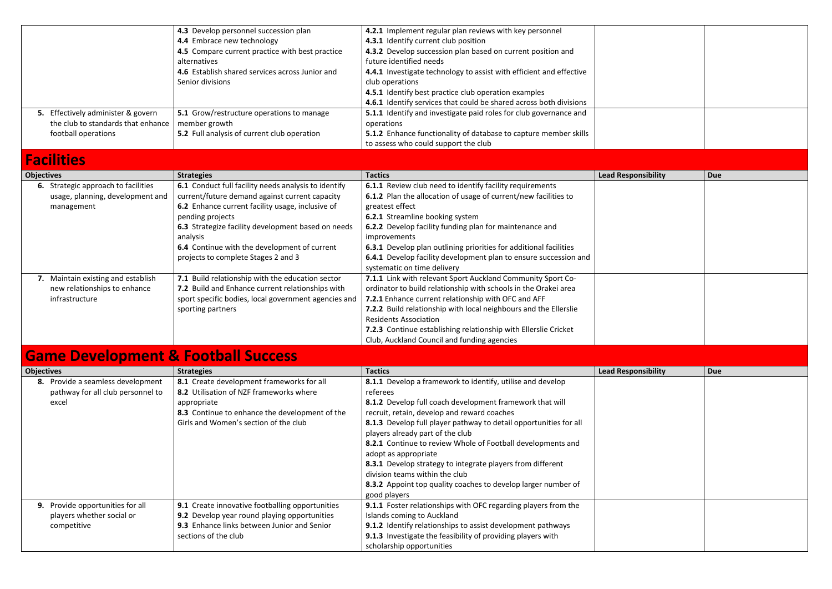|                                    | 4.3 Develop personnel succession plan           | 4.2.1 Implement regular plan reviews with key personnel             |  |
|------------------------------------|-------------------------------------------------|---------------------------------------------------------------------|--|
|                                    | 4.4 Embrace new technology                      | 4.3.1 Identify current club position                                |  |
|                                    | 4.5 Compare current practice with best practice | 4.3.2 Develop succession plan based on current position and         |  |
|                                    | alternatives                                    | future identified needs                                             |  |
|                                    | 4.6 Establish shared services across Junior and | 4.4.1 Investigate technology to assist with efficient and effective |  |
|                                    | Senior divisions                                | club operations                                                     |  |
|                                    |                                                 | 4.5.1 Identify best practice club operation examples                |  |
|                                    |                                                 | 4.6.1 Identify services that could be shared across both divisions  |  |
| 5. Effectively administer & govern | 5.1 Grow/restructure operations to manage       | 5.1.1 Identify and investigate paid roles for club governance and   |  |
| the club to standards that enhance | member growth                                   | operations                                                          |  |
| football operations                | 5.2 Full analysis of current club operation     | 5.1.2 Enhance functionality of database to capture member skills    |  |
|                                    |                                                 | to assess who could support the club                                |  |

## **Facilities**

| <b>alille</b> s                     |                                                      |                                                                         |                            |            |
|-------------------------------------|------------------------------------------------------|-------------------------------------------------------------------------|----------------------------|------------|
| <b>Objectives</b>                   | <b>Strategies</b>                                    | <b>Tactics</b>                                                          | <b>Lead Responsibility</b> | <b>Due</b> |
| 6. Strategic approach to facilities | 6.1 Conduct full facility needs analysis to identify | 6.1.1 Review club need to identify facility requirements                |                            |            |
| usage, planning, development and    | current/future demand against current capacity       | 6.1.2 Plan the allocation of usage of current/new facilities to         |                            |            |
| management                          | 6.2 Enhance current facility usage, inclusive of     | greatest effect                                                         |                            |            |
|                                     | pending projects                                     | <b>6.2.1</b> Streamline booking system                                  |                            |            |
|                                     | 6.3 Strategize facility development based on needs   | 6.2.2 Develop facility funding plan for maintenance and                 |                            |            |
|                                     | analysis                                             | improvements                                                            |                            |            |
|                                     | 6.4 Continue with the development of current         | 6.3.1 Develop plan outlining priorities for additional facilities       |                            |            |
|                                     | projects to complete Stages 2 and 3                  | <b>6.4.1</b> Develop facility development plan to ensure succession and |                            |            |
|                                     |                                                      | systematic on time delivery                                             |                            |            |
| 7. Maintain existing and establish  | 7.1 Build relationship with the education sector     | 7.1.1 Link with relevant Sport Auckland Community Sport Co-             |                            |            |
| new relationships to enhance        | 7.2 Build and Enhance current relationships with     | ordinator to build relationship with schools in the Orakei area         |                            |            |
| infrastructure                      | sport specific bodies, local government agencies and | 7.2.1 Enhance current relationship with OFC and AFF                     |                            |            |
|                                     | sporting partners                                    | 7.2.2 Build relationship with local neighbours and the Ellerslie        |                            |            |
|                                     |                                                      | <b>Residents Association</b>                                            |                            |            |
|                                     |                                                      | 7.2.3 Continue establishing relationship with Ellerslie Cricket         |                            |            |
|                                     |                                                      | Club, Auckland Council and funding agencies                             |                            |            |

# **Game Development & Football Success**

| <u>amilia dalaiamilialle di i aarmii amaaan</u> |                                                 |                                                                    |                            |     |
|-------------------------------------------------|-------------------------------------------------|--------------------------------------------------------------------|----------------------------|-----|
| <b>Objectives</b>                               | <b>Strategies</b>                               | <b>Tactics</b>                                                     | <b>Lead Responsibility</b> | Due |
| 8. Provide a seamless development               | 8.1 Create development frameworks for all       | 8.1.1 Develop a framework to identify, utilise and develop         |                            |     |
| pathway for all club personnel to               | 8.2 Utilisation of NZF frameworks where         | referees                                                           |                            |     |
| excel                                           | appropriate                                     | 8.1.2 Develop full coach development framework that will           |                            |     |
|                                                 | 8.3 Continue to enhance the development of the  | recruit, retain, develop and reward coaches                        |                            |     |
|                                                 | Girls and Women's section of the club           | 8.1.3 Develop full player pathway to detail opportunities for all  |                            |     |
|                                                 |                                                 | players already part of the club                                   |                            |     |
|                                                 |                                                 | 8.2.1 Continue to review Whole of Football developments and        |                            |     |
|                                                 |                                                 | adopt as appropriate                                               |                            |     |
|                                                 |                                                 | 8.3.1 Develop strategy to integrate players from different         |                            |     |
|                                                 |                                                 | division teams within the club                                     |                            |     |
|                                                 |                                                 | 8.3.2 Appoint top quality coaches to develop larger number of      |                            |     |
|                                                 |                                                 | good players                                                       |                            |     |
| 9. Provide opportunities for all                | 9.1 Create innovative footballing opportunities | 9.1.1 Foster relationships with OFC regarding players from the     |                            |     |
| players whether social or                       | 9.2 Develop year round playing opportunities    | Islands coming to Auckland                                         |                            |     |
| competitive                                     | 9.3 Enhance links between Junior and Senior     | <b>9.1.2</b> Identify relationships to assist development pathways |                            |     |
|                                                 | sections of the club                            | 9.1.3 Investigate the feasibility of providing players with        |                            |     |
|                                                 |                                                 | scholarship opportunities                                          |                            |     |